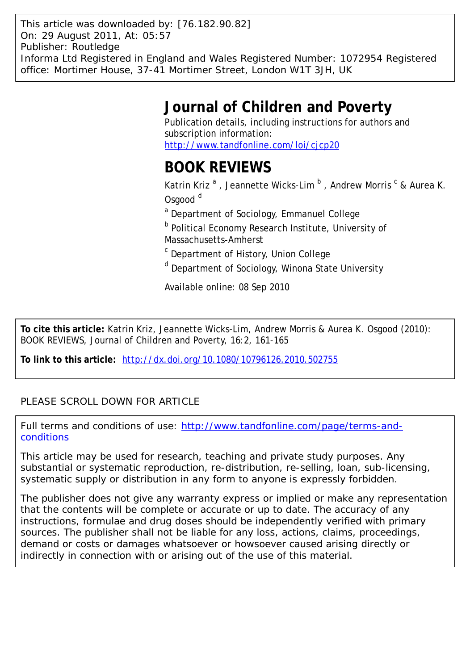This article was downloaded by: [76.182.90.82] On: 29 August 2011, At: 05:57 Publisher: Routledge Informa Ltd Registered in England and Wales Registered Number: 1072954 Registered office: Mortimer House, 37-41 Mortimer Street, London W1T 3JH, UK

## **Journal of Children and Poverty**

Publication details, including instructions for authors and subscription information: <http://www.tandfonline.com/loi/cjcp20>

## **BOOK REVIEWS**

Katrin Kriz<sup>a</sup>, Jeannette Wicks-Lim<sup>b</sup>, Andrew Morris<sup>c</sup> & Aurea K. Osgood<sup>d</sup>

<sup>a</sup> Department of Sociology, Emmanuel College

**b** Political Economy Research Institute, University of Massachusetts-Amherst

- <sup>c</sup> Department of History, Union College
- <sup>d</sup> Department of Sociology, Winona State University

Available online: 08 Sep 2010

**To cite this article:** Katrin Kriz, Jeannette Wicks-Lim, Andrew Morris & Aurea K. Osgood (2010): BOOK REVIEWS, Journal of Children and Poverty, 16:2, 161-165

**To link to this article:** <http://dx.doi.org/10.1080/10796126.2010.502755>

## PLEASE SCROLL DOWN FOR ARTICLE

Full terms and conditions of use: [http://www.tandfonline.com/page/terms-and](http://www.tandfonline.com/page/terms-and-conditions)[conditions](http://www.tandfonline.com/page/terms-and-conditions)

This article may be used for research, teaching and private study purposes. Any substantial or systematic reproduction, re-distribution, re-selling, loan, sub-licensing, systematic supply or distribution in any form to anyone is expressly forbidden.

The publisher does not give any warranty express or implied or make any representation that the contents will be complete or accurate or up to date. The accuracy of any instructions, formulae and drug doses should be independently verified with primary sources. The publisher shall not be liable for any loss, actions, claims, proceedings, demand or costs or damages whatsoever or howsoever caused arising directly or indirectly in connection with or arising out of the use of this material.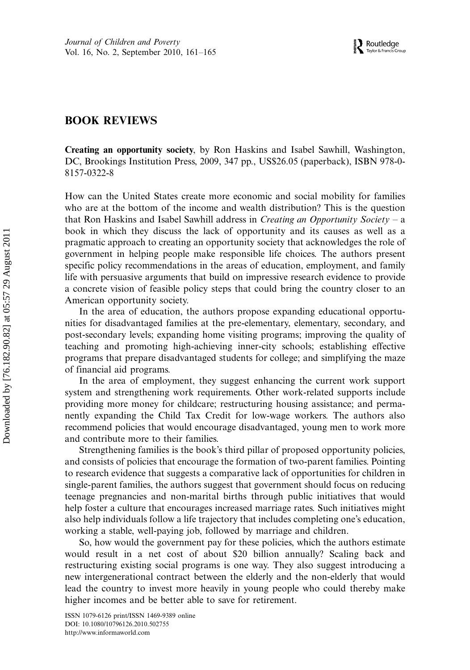## BOOK REVIEWS

Creating an opportunity society, by Ron Haskins and Isabel Sawhill, Washington, DC, Brookings Institution Press, 2009, 347 pp., US\$26.05 (paperback), ISBN 978-0- 8157-0322-8

How can the United States create more economic and social mobility for families who are at the bottom of the income and wealth distribution? This is the question that Ron Haskins and Isabel Sawhill address in *Creating an Opportunity Society* – a book in which they discuss the lack of opportunity and its causes as well as a pragmatic approach to creating an opportunity society that acknowledges the role of government in helping people make responsible life choices. The authors present specific policy recommendations in the areas of education, employment, and family life with persuasive arguments that build on impressive research evidence to provide a concrete vision of feasible policy steps that could bring the country closer to an American opportunity society.

In the area of education, the authors propose expanding educational opportunities for disadvantaged families at the pre-elementary, elementary, secondary, and post-secondary levels; expanding home visiting programs; improving the quality of teaching and promoting high-achieving inner-city schools; establishing effective programs that prepare disadvantaged students for college; and simplifying the maze of financial aid programs.

In the area of employment, they suggest enhancing the current work support system and strengthening work requirements. Other work-related supports include providing more money for childcare; restructuring housing assistance; and permanently expanding the Child Tax Credit for low-wage workers. The authors also recommend policies that would encourage disadvantaged, young men to work more and contribute more to their families.

Strengthening families is the book's third pillar of proposed opportunity policies, and consists of policies that encourage the formation of two-parent families. Pointing to research evidence that suggests a comparative lack of opportunities for children in single-parent families, the authors suggest that government should focus on reducing teenage pregnancies and non-marital births through public initiatives that would help foster a culture that encourages increased marriage rates. Such initiatives might also help individuals follow a life trajectory that includes completing one's education, working a stable, well-paying job, followed by marriage and children.

So, how would the government pay for these policies, which the authors estimate would result in a net cost of about \$20 billion annually? Scaling back and restructuring existing social programs is one way. They also suggest introducing a new intergenerational contract between the elderly and the non-elderly that would lead the country to invest more heavily in young people who could thereby make higher incomes and be better able to save for retirement.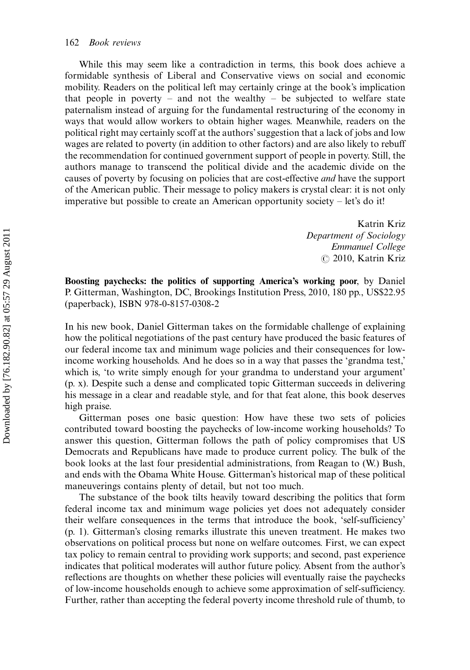While this may seem like a contradiction in terms, this book does achieve a formidable synthesis of Liberal and Conservative views on social and economic mobility. Readers on the political left may certainly cringe at the book's implication that people in poverty – and not the wealthy – be subjected to welfare state paternalism instead of arguing for the fundamental restructuring of the economy in ways that would allow workers to obtain higher wages. Meanwhile, readers on the political right may certainly scoff at the authors'suggestion that a lack of jobs and low wages are related to poverty (in addition to other factors) and are also likely to rebuff the recommendation for continued government support of people in poverty. Still, the authors manage to transcend the political divide and the academic divide on the causes of poverty by focusing on policies that are cost-effective and have the support of the American public. Their message to policy makers is crystal clear: it is not only imperative but possible to create an American opportunity society  $-$  let's do it!

> Katrin Kriz Department of Sociology Emmanuel College  $\circ$  2010, Katrin Kriz

Boosting paychecks: the politics of supporting America's working poor, by Daniel P. Gitterman, Washington, DC, Brookings Institution Press, 2010, 180 pp., US\$22.95 (paperback), ISBN 978-0-8157-0308-2

In his new book, Daniel Gitterman takes on the formidable challenge of explaining how the political negotiations of the past century have produced the basic features of our federal income tax and minimum wage policies and their consequences for lowincome working households. And he does so in a way that passes the 'grandma test,' which is, 'to write simply enough for your grandma to understand your argument' (p. x). Despite such a dense and complicated topic Gitterman succeeds in delivering his message in a clear and readable style, and for that feat alone, this book deserves high praise.

Gitterman poses one basic question: How have these two sets of policies contributed toward boosting the paychecks of low-income working households? To answer this question, Gitterman follows the path of policy compromises that US Democrats and Republicans have made to produce current policy. The bulk of the book looks at the last four presidential administrations, from Reagan to (W.) Bush, and ends with the Obama White House. Gitterman's historical map of these political maneuverings contains plenty of detail, but not too much.

The substance of the book tilts heavily toward describing the politics that form federal income tax and minimum wage policies yet does not adequately consider their welfare consequences in the terms that introduce the book, 'self-sufficiency' (p. 1). Gitterman's closing remarks illustrate this uneven treatment. He makes two observations on political process but none on welfare outcomes. First, we can expect tax policy to remain central to providing work supports; and second, past experience indicates that political moderates will author future policy. Absent from the author's reflections are thoughts on whether these policies will eventually raise the paychecks of low-income households enough to achieve some approximation of self-sufficiency. Further, rather than accepting the federal poverty income threshold rule of thumb, to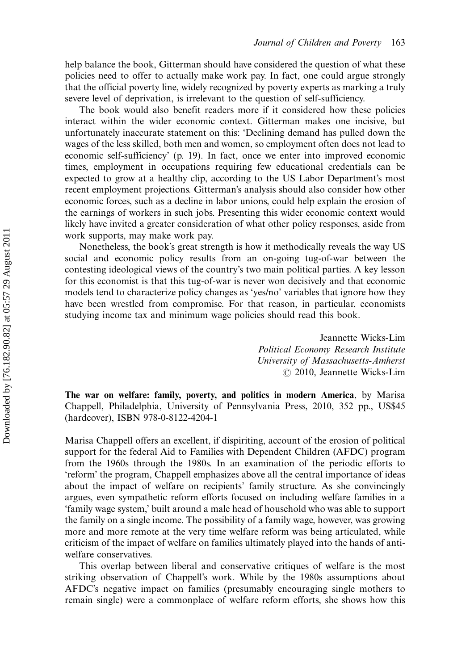help balance the book, Gitterman should have considered the question of what these policies need to offer to actually make work pay. In fact, one could argue strongly that the official poverty line, widely recognized by poverty experts as marking a truly severe level of deprivation, is irrelevant to the question of self-sufficiency.

The book would also benefit readers more if it considered how these policies interact within the wider economic context. Gitterman makes one incisive, but unfortunately inaccurate statement on this: 'Declining demand has pulled down the wages of the less skilled, both men and women, so employment often does not lead to economic self-sufficiency' (p. 19). In fact, once we enter into improved economic times, employment in occupations requiring few educational credentials can be expected to grow at a healthy clip, according to the US Labor Department's most recent employment projections. Gitterman's analysis should also consider how other economic forces, such as a decline in labor unions, could help explain the erosion of the earnings of workers in such jobs. Presenting this wider economic context would likely have invited a greater consideration of what other policy responses, aside from work supports, may make work pay.

Nonetheless, the book's great strength is how it methodically reveals the way US social and economic policy results from an on-going tug-of-war between the contesting ideological views of the country's two main political parties. A key lesson for this economist is that this tug-of-war is never won decisively and that economic models tend to characterize policy changes as 'yes/no' variables that ignore how they have been wrestled from compromise. For that reason, in particular, economists studying income tax and minimum wage policies should read this book.

> Jeannette Wicks-Lim Political Economy Research Institute University of Massachusetts-Amherst  $\odot$  2010, Jeannette Wicks-Lim

The war on welfare: family, poverty, and politics in modern America, by Marisa Chappell, Philadelphia, University of Pennsylvania Press, 2010, 352 pp., US\$45 (hardcover), ISBN 978-0-8122-4204-1

Marisa Chappell offers an excellent, if dispiriting, account of the erosion of political support for the federal Aid to Families with Dependent Children (AFDC) program from the 1960s through the 1980s. In an examination of the periodic efforts to 'reform' the program, Chappell emphasizes above all the central importance of ideas about the impact of welfare on recipients' family structure. As she convincingly argues, even sympathetic reform efforts focused on including welfare families in a 'family wage system,' built around a male head of household who was able to support the family on a single income. The possibility of a family wage, however, was growing more and more remote at the very time welfare reform was being articulated, while criticism of the impact of welfare on families ultimately played into the hands of antiwelfare conservatives.

This overlap between liberal and conservative critiques of welfare is the most striking observation of Chappell's work. While by the 1980s assumptions about AFDC's negative impact on families (presumably encouraging single mothers to remain single) were a commonplace of welfare reform efforts, she shows how this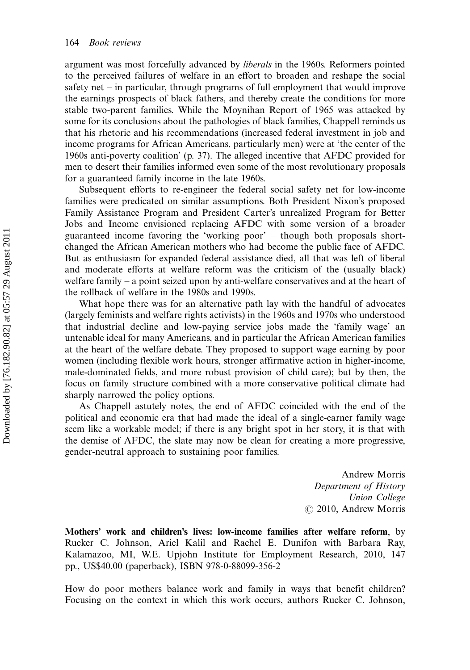argument was most forcefully advanced by liberals in the 1960s. Reformers pointed to the perceived failures of welfare in an effort to broaden and reshape the social safety net  $-$  in particular, through programs of full employment that would improve the earnings prospects of black fathers, and thereby create the conditions for more stable two-parent families. While the Moynihan Report of 1965 was attacked by some for its conclusions about the pathologies of black families, Chappell reminds us that his rhetoric and his recommendations (increased federal investment in job and income programs for African Americans, particularly men) were at 'the center of the 1960s anti-poverty coalition' (p. 37). The alleged incentive that AFDC provided for men to desert their families informed even some of the most revolutionary proposals for a guaranteed family income in the late 1960s.

Subsequent efforts to re-engineer the federal social safety net for low-income families were predicated on similar assumptions. Both President Nixon's proposed Family Assistance Program and President Carter's unrealized Program for Better Jobs and Income envisioned replacing AFDC with some version of a broader guaranteed income favoring the 'working poor' though both proposals shortchanged the African American mothers who had become the public face of AFDC. But as enthusiasm for expanded federal assistance died, all that was left of liberal and moderate efforts at welfare reform was the criticism of the (usually black) welfare family  $-$  a point seized upon by anti-welfare conservatives and at the heart of the rollback of welfare in the 1980s and 1990s.

What hope there was for an alternative path lay with the handful of advocates (largely feminists and welfare rights activists) in the 1960s and 1970s who understood that industrial decline and low-paying service jobs made the 'family wage' an untenable ideal for many Americans, and in particular the African American families at the heart of the welfare debate. They proposed to support wage earning by poor women (including flexible work hours, stronger affirmative action in higher-income, male-dominated fields, and more robust provision of child care); but by then, the focus on family structure combined with a more conservative political climate had sharply narrowed the policy options.

As Chappell astutely notes, the end of AFDC coincided with the end of the political and economic era that had made the ideal of a single-earner family wage seem like a workable model; if there is any bright spot in her story, it is that with the demise of AFDC, the slate may now be clean for creating a more progressive, gender-neutral approach to sustaining poor families.

> Andrew Morris Department of History Union College  $\odot$  2010, Andrew Morris

Mothers' work and children's lives: low-income families after welfare reform, by Rucker C. Johnson, Ariel Kalil and Rachel E. Dunifon with Barbara Ray, Kalamazoo, MI, W.E. Upjohn Institute for Employment Research, 2010, 147 pp., US\$40.00 (paperback), ISBN 978-0-88099-356-2

How do poor mothers balance work and family in ways that benefit children? Focusing on the context in which this work occurs, authors Rucker C. Johnson,